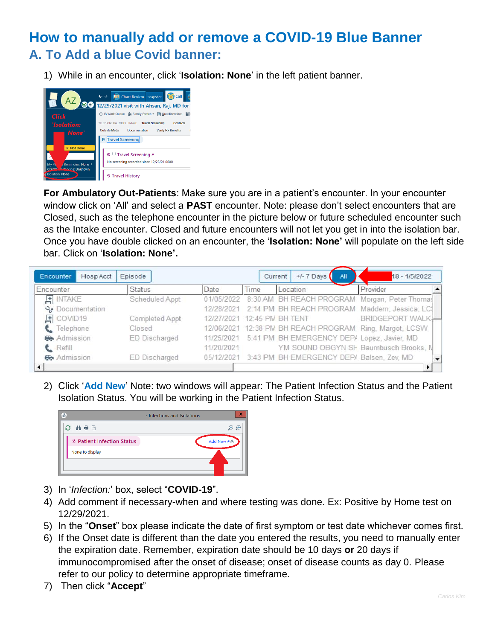## **How to manually add or remove a COVID-19 Blue Banner A. To Add a blue Covid banner:**

1) While in an encounter, click '**Isolation: None**' in the left patient banner.



**For Ambulatory Out-Patients**: Make sure you are in a patient's encounter. In your encounter window click on 'All' and select a **PAST** encounter. Note: please don't select encounters that are Closed, such as the telephone encounter in the picture below or future scheduled encounter such as the Intake encounter. Closed and future encounters will not let you get in into the isolation bar. Once you have double clicked on an encounter, the '**Isolation: None'** will populate on the left side bar. Click on '**Isolation: None'.**

| Encounter<br>Hosp Acct | Episode        |                             |      | $+/-7$ Days<br>Current<br>All                            | 18 - 1/5/2022    |
|------------------------|----------------|-----------------------------|------|----------------------------------------------------------|------------------|
| Encounter              | <b>Status</b>  | Date                        | Time | Location                                                 | Provider         |
| $F$ INTAKE             | Scheduled Appt |                             |      | 01/05/2022 8:30 AM BH REACH PROGRAM Morgan, Peter Thomas |                  |
| <b>S</b> Documentation |                |                             |      | 12/28/2021 2:14 PM BH REACH PROGRAM Maddern, Jessica, LC |                  |
| $F$ COVID19            | Completed Appt | 12/27/2021 12:45 PM BH TENT |      |                                                          | BRIDGEPORT WALK- |
| t Telephone            | Closed         |                             |      | 12/06/2021 12:38 PM BH REACH PROGRAM Ring, Margot, LCSW  |                  |
| Admission              | ED Discharged  |                             |      | 11/25/2021 5:41 PM BH EMERGENCY DEP/ Lopez, Javier, MD   |                  |
| <b>L</b> Refill        |                | 11/20/2021                  |      | YM SOUND OBGYN SH Baumbusch Brooks, N                    |                  |
| Admission              | ED Discharged  |                             |      | 05/12/2021 3:43 PM BH EMERGENCY DEP/ Balsen, Zev, MD     |                  |
|                        |                |                             |      |                                                          |                  |

2) Click '**Add New**' Note: two windows will appear: The Patient Infection Status and the Patient Isolation Status. You will be working in the Patient Infection Status.



- 3) In '*Infection:*' box, select "**COVID-19**".
- 4) Add comment if necessary-when and where testing was done. Ex: Positive by Home test on 12/29/2021.
- 5) In the "**Onset**" box please indicate the date of first symptom or test date whichever comes first.
- 6) If the Onset date is different than the date you entered the results, you need to manually enter the expiration date. Remember, expiration date should be 10 days **or** 20 days if immunocompromised after the onset of disease; onset of disease counts as day 0. Please refer to our policy to determine appropriate timeframe.
- 7) Then click "**Accept**"